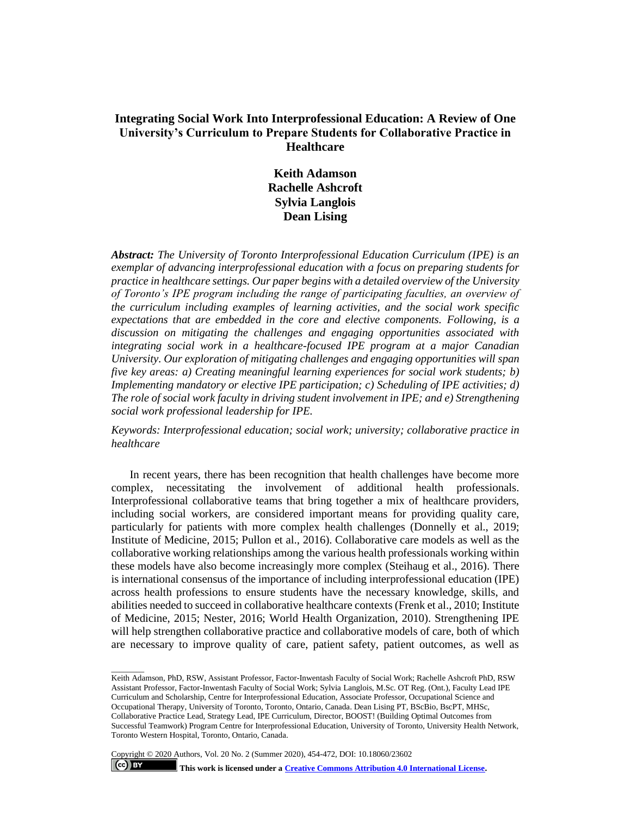# **Integrating Social Work Into Interprofessional Education: A Review of One University's Curriculum to Prepare Students for Collaborative Practice in Healthcare**

**Keith Adamson Rachelle Ashcroft Sylvia Langlois Dean Lising**

*Abstract: The University of Toronto Interprofessional Education Curriculum (IPE) is an exemplar of advancing interprofessional education with a focus on preparing students for practice in healthcare settings. Our paper begins with a detailed overview of the University of Toronto's IPE program including the range of participating faculties, an overview of the curriculum including examples of learning activities, and the social work specific expectations that are embedded in the core and elective components. Following, is a discussion on mitigating the challenges and engaging opportunities associated with integrating social work in a healthcare-focused IPE program at a major Canadian University. Our exploration of mitigating challenges and engaging opportunities will span five key areas: a) Creating meaningful learning experiences for social work students; b) Implementing mandatory or elective IPE participation; c) Scheduling of IPE activities; d) The role of social work faculty in driving student involvement in IPE; and e) Strengthening social work professional leadership for IPE.*

*Keywords: Interprofessional education; social work; university; collaborative practice in healthcare*

In recent years, there has been recognition that health challenges have become more complex, necessitating the involvement of additional health professionals. Interprofessional collaborative teams that bring together a mix of healthcare providers, including social workers, are considered important means for providing quality care, particularly for patients with more complex health challenges (Donnelly et al., 2019; Institute of Medicine, 2015; Pullon et al., 2016). Collaborative care models as well as the collaborative working relationships among the various health professionals working within these models have also become increasingly more complex (Steihaug et al., 2016). There is international consensus of the importance of including interprofessional education (IPE) across health professions to ensure students have the necessary knowledge, skills, and abilities needed to succeed in collaborative healthcare contexts (Frenk et al., 2010; Institute of Medicine, 2015; Nester, 2016; World Health Organization, 2010). Strengthening IPE will help strengthen collaborative practice and collaborative models of care, both of which are necessary to improve quality of care, patient safety, patient outcomes, as well as

Copyright © 2020 Authors, Vol. 20 No. 2 (Summer 2020), 454-472, DOI: 10.18060/23602  $\left($ ce $\right)$  BY **This work is licensed under [a Creative Commons Attribution 4.0 International License.](https://creativecommons.org/licenses/by/4.0/)** 

 $\overline{\phantom{a}}$ 

Keith Adamson, PhD, RSW, Assistant Professor, Factor-Inwentash Faculty of Social Work; Rachelle Ashcroft PhD, RSW Assistant Professor, Factor-Inwentash Faculty of Social Work; Sylvia Langlois, M.Sc. OT Reg. (Ont.), Faculty Lead IPE Curriculum and Scholarship, Centre for Interprofessional Education, Associate Professor, Occupational Science and Occupational Therapy, University of Toronto, Toronto, Ontario, Canada. Dean Lising PT, BScBio, BscPT, MHSc, Collaborative Practice Lead, Strategy Lead, IPE Curriculum, Director, BOOST! (Building Optimal Outcomes from Successful Teamwork) Program Centre for Interprofessional Education, University of Toronto, University Health Network, Toronto Western Hospital, Toronto, Ontario, Canada.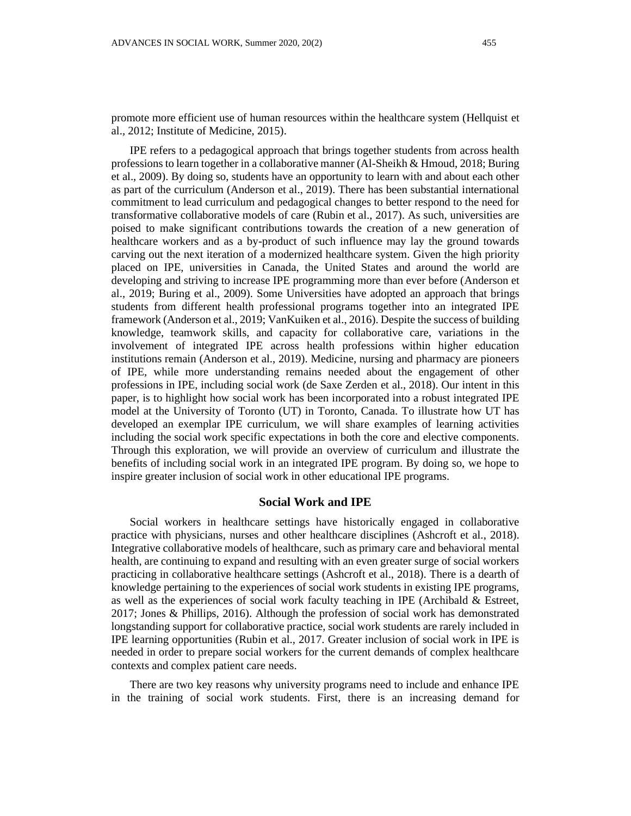promote more efficient use of human resources within the healthcare system (Hellquist et al., 2012; Institute of Medicine, 2015).

IPE refers to a pedagogical approach that brings together students from across health professions to learn together in a collaborative manner (Al-Sheikh & Hmoud, 2018; Buring et al., 2009). By doing so, students have an opportunity to learn with and about each other as part of the curriculum (Anderson et al., 2019). There has been substantial international commitment to lead curriculum and pedagogical changes to better respond to the need for transformative collaborative models of care (Rubin et al., 2017). As such, universities are poised to make significant contributions towards the creation of a new generation of healthcare workers and as a by-product of such influence may lay the ground towards carving out the next iteration of a modernized healthcare system. Given the high priority placed on IPE, universities in Canada, the United States and around the world are developing and striving to increase IPE programming more than ever before (Anderson et al., 2019; Buring et al., 2009). Some Universities have adopted an approach that brings students from different health professional programs together into an integrated IPE framework (Anderson et al., 2019; VanKuiken et al., 2016). Despite the success of building knowledge, teamwork skills, and capacity for collaborative care, variations in the involvement of integrated IPE across health professions within higher education institutions remain (Anderson et al., 2019). Medicine, nursing and pharmacy are pioneers of IPE, while more understanding remains needed about the engagement of other professions in IPE, including social work (de Saxe Zerden et al., 2018). Our intent in this paper, is to highlight how social work has been incorporated into a robust integrated IPE model at the University of Toronto (UT) in Toronto, Canada. To illustrate how UT has developed an exemplar IPE curriculum, we will share examples of learning activities including the social work specific expectations in both the core and elective components. Through this exploration, we will provide an overview of curriculum and illustrate the benefits of including social work in an integrated IPE program. By doing so, we hope to inspire greater inclusion of social work in other educational IPE programs.

#### **Social Work and IPE**

Social workers in healthcare settings have historically engaged in collaborative practice with physicians, nurses and other healthcare disciplines (Ashcroft et al., 2018). Integrative collaborative models of healthcare, such as primary care and behavioral mental health, are continuing to expand and resulting with an even greater surge of social workers practicing in collaborative healthcare settings (Ashcroft et al., 2018). There is a dearth of knowledge pertaining to the experiences of social work students in existing IPE programs, as well as the experiences of social work faculty teaching in IPE (Archibald & Estreet, 2017; Jones & Phillips, 2016). Although the profession of social work has demonstrated longstanding support for collaborative practice, social work students are rarely included in IPE learning opportunities (Rubin et al., 2017. Greater inclusion of social work in IPE is needed in order to prepare social workers for the current demands of complex healthcare contexts and complex patient care needs.

There are two key reasons why university programs need to include and enhance IPE in the training of social work students. First, there is an increasing demand for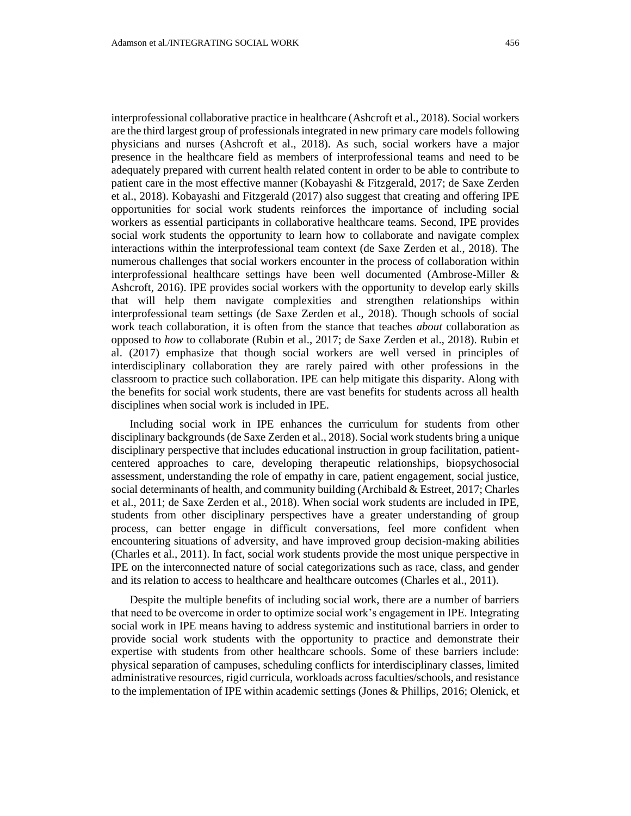interprofessional collaborative practice in healthcare (Ashcroft et al., 2018). Social workers are the third largest group of professionals integrated in new primary care models following physicians and nurses (Ashcroft et al., 2018). As such, social workers have a major presence in the healthcare field as members of interprofessional teams and need to be adequately prepared with current health related content in order to be able to contribute to patient care in the most effective manner (Kobayashi & Fitzgerald, 2017; de Saxe Zerden et al., 2018). Kobayashi and Fitzgerald (2017) also suggest that creating and offering IPE opportunities for social work students reinforces the importance of including social workers as essential participants in collaborative healthcare teams. Second, IPE provides social work students the opportunity to learn how to collaborate and navigate complex interactions within the interprofessional team context (de Saxe Zerden et al., 2018). The numerous challenges that social workers encounter in the process of collaboration within interprofessional healthcare settings have been well documented (Ambrose-Miller & Ashcroft, 2016). IPE provides social workers with the opportunity to develop early skills that will help them navigate complexities and strengthen relationships within interprofessional team settings (de Saxe Zerden et al., 2018). Though schools of social work teach collaboration, it is often from the stance that teaches *about* collaboration as opposed to *how* to collaborate (Rubin et al., 2017; de Saxe Zerden et al., 2018). Rubin et al. (2017) emphasize that though social workers are well versed in principles of interdisciplinary collaboration they are rarely paired with other professions in the classroom to practice such collaboration. IPE can help mitigate this disparity. Along with the benefits for social work students, there are vast benefits for students across all health disciplines when social work is included in IPE.

Including social work in IPE enhances the curriculum for students from other disciplinary backgrounds (de Saxe Zerden et al., 2018). Social work students bring a unique disciplinary perspective that includes educational instruction in group facilitation, patientcentered approaches to care, developing therapeutic relationships, biopsychosocial assessment, understanding the role of empathy in care, patient engagement, social justice, social determinants of health, and community building (Archibald & Estreet, 2017; Charles et al., 2011; de Saxe Zerden et al., 2018). When social work students are included in IPE, students from other disciplinary perspectives have a greater understanding of group process, can better engage in difficult conversations, feel more confident when encountering situations of adversity, and have improved group decision-making abilities (Charles et al., 2011). In fact, social work students provide the most unique perspective in IPE on the interconnected nature of social categorizations such as race, class, and gender and its relation to access to healthcare and healthcare outcomes (Charles et al., 2011).

Despite the multiple benefits of including social work, there are a number of barriers that need to be overcome in order to optimize social work's engagement in IPE. Integrating social work in IPE means having to address systemic and institutional barriers in order to provide social work students with the opportunity to practice and demonstrate their expertise with students from other healthcare schools. Some of these barriers include: physical separation of campuses, scheduling conflicts for interdisciplinary classes, limited administrative resources, rigid curricula, workloads across faculties/schools, and resistance to the implementation of IPE within academic settings (Jones & Phillips, 2016; Olenick, et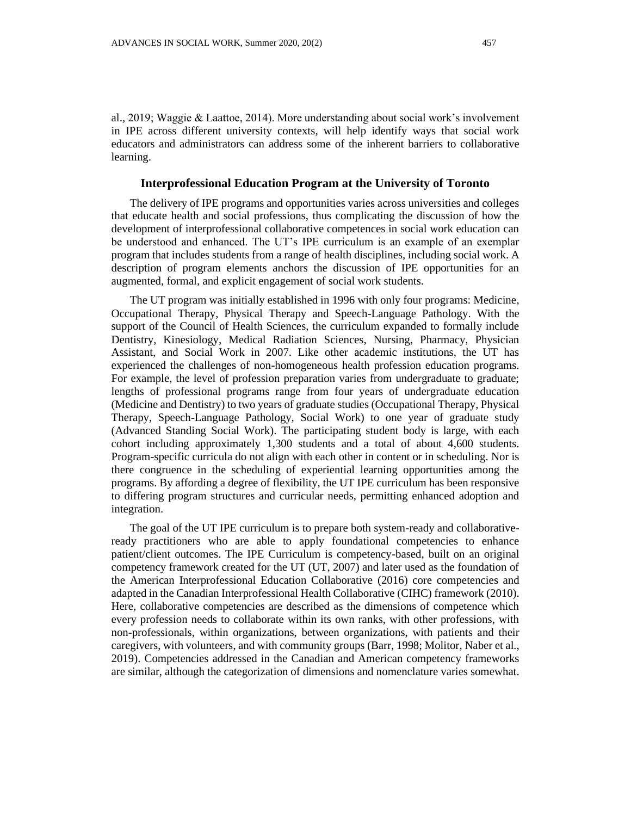al., 2019; Waggie & Laattoe, 2014). More understanding about social work's involvement in IPE across different university contexts, will help identify ways that social work educators and administrators can address some of the inherent barriers to collaborative learning.

## **Interprofessional Education Program at the University of Toronto**

The delivery of IPE programs and opportunities varies across universities and colleges that educate health and social professions, thus complicating the discussion of how the development of interprofessional collaborative competences in social work education can be understood and enhanced. The UT's IPE curriculum is an example of an exemplar program that includes students from a range of health disciplines, including social work. A description of program elements anchors the discussion of IPE opportunities for an augmented, formal, and explicit engagement of social work students.

The UT program was initially established in 1996 with only four programs: Medicine, Occupational Therapy, Physical Therapy and Speech-Language Pathology. With the support of the Council of Health Sciences, the curriculum expanded to formally include Dentistry, Kinesiology, Medical Radiation Sciences, Nursing, Pharmacy, Physician Assistant, and Social Work in 2007. Like other academic institutions, the UT has experienced the challenges of non-homogeneous health profession education programs. For example, the level of profession preparation varies from undergraduate to graduate; lengths of professional programs range from four years of undergraduate education (Medicine and Dentistry) to two years of graduate studies (Occupational Therapy, Physical Therapy, Speech-Language Pathology, Social Work) to one year of graduate study (Advanced Standing Social Work). The participating student body is large, with each cohort including approximately 1,300 students and a total of about 4,600 students. Program-specific curricula do not align with each other in content or in scheduling. Nor is there congruence in the scheduling of experiential learning opportunities among the programs. By affording a degree of flexibility, the UT IPE curriculum has been responsive to differing program structures and curricular needs, permitting enhanced adoption and integration.

The goal of the UT IPE curriculum is to prepare both system-ready and collaborativeready practitioners who are able to apply foundational competencies to enhance patient/client outcomes. The IPE Curriculum is competency-based, built on an original competency framework created for the UT (UT, 2007) and later used as the foundation of the American Interprofessional Education Collaborative (2016) core competencies and adapted in the Canadian Interprofessional Health Collaborative (CIHC) framework (2010). Here, collaborative competencies are described as the dimensions of competence which every profession needs to collaborate within its own ranks, with other professions, with non-professionals, within organizations, between organizations, with patients and their caregivers, with volunteers, and with community groups (Barr, 1998; Molitor, Naber et al., 2019). Competencies addressed in the Canadian and American competency frameworks are similar, although the categorization of dimensions and nomenclature varies somewhat.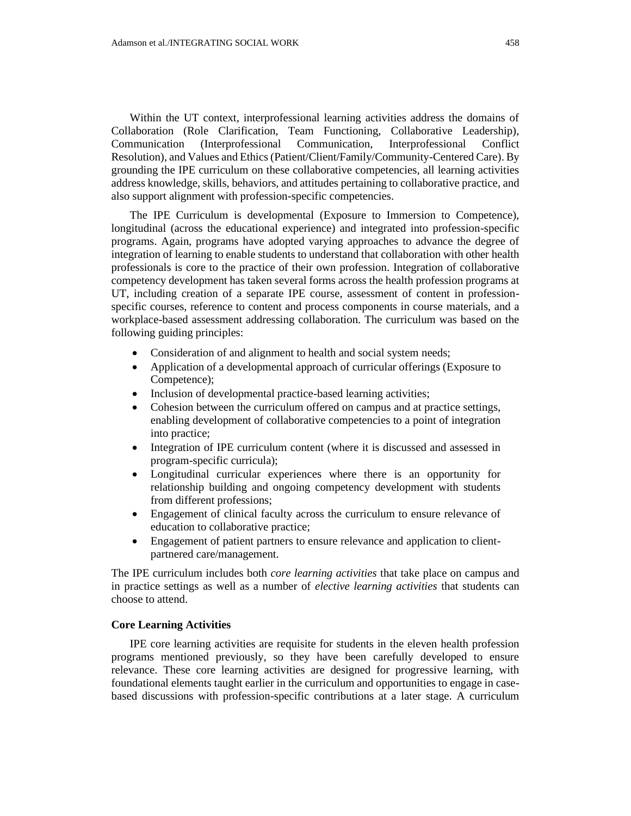Within the UT context, interprofessional learning activities address the domains of Collaboration (Role Clarification, Team Functioning, Collaborative Leadership), Communication (Interprofessional Communication, Interprofessional Conflict Resolution), and Values and Ethics (Patient/Client/Family/Community-Centered Care). By grounding the IPE curriculum on these collaborative competencies, all learning activities address knowledge, skills, behaviors, and attitudes pertaining to collaborative practice, and also support alignment with profession-specific competencies.

The IPE Curriculum is developmental (Exposure to Immersion to Competence), longitudinal (across the educational experience) and integrated into profession-specific programs. Again, programs have adopted varying approaches to advance the degree of integration of learning to enable students to understand that collaboration with other health professionals is core to the practice of their own profession. Integration of collaborative competency development has taken several forms across the health profession programs at UT, including creation of a separate IPE course, assessment of content in professionspecific courses, reference to content and process components in course materials, and a workplace-based assessment addressing collaboration. The curriculum was based on the following guiding principles:

- Consideration of and alignment to health and social system needs;
- Application of a developmental approach of curricular offerings (Exposure to Competence);
- Inclusion of developmental practice-based learning activities;
- Cohesion between the curriculum offered on campus and at practice settings, enabling development of collaborative competencies to a point of integration into practice;
- Integration of IPE curriculum content (where it is discussed and assessed in program-specific curricula);
- Longitudinal curricular experiences where there is an opportunity for relationship building and ongoing competency development with students from different professions;
- Engagement of clinical faculty across the curriculum to ensure relevance of education to collaborative practice;
- Engagement of patient partners to ensure relevance and application to clientpartnered care/management.

The IPE curriculum includes both *core learning activities* that take place on campus and in practice settings as well as a number of *elective learning activities* that students can choose to attend.

## **Core Learning Activities**

IPE core learning activities are requisite for students in the eleven health profession programs mentioned previously, so they have been carefully developed to ensure relevance. These core learning activities are designed for progressive learning, with foundational elements taught earlier in the curriculum and opportunities to engage in casebased discussions with profession-specific contributions at a later stage. A curriculum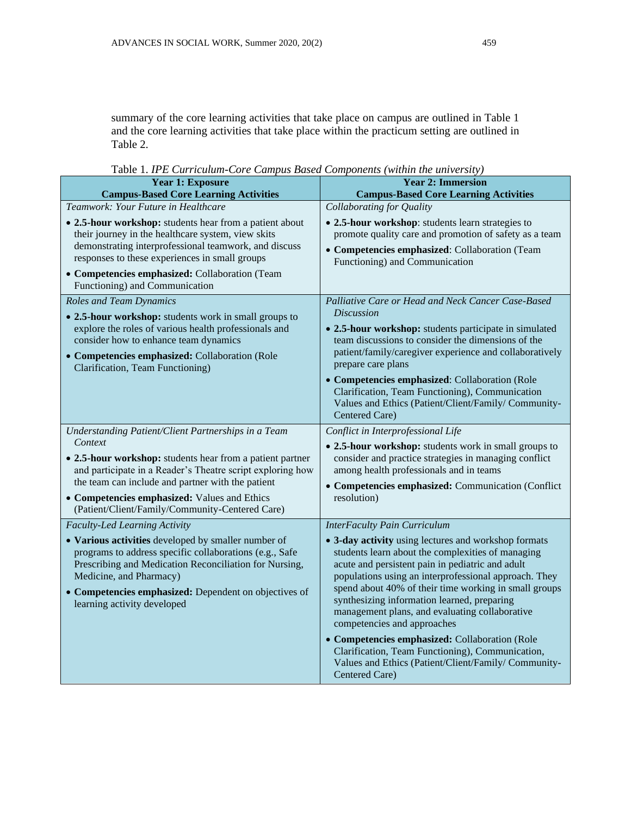summary of the core learning activities that take place on campus are outlined in Table 1 and the core learning activities that take place within the practicum setting are outlined in Table 2.

| <b>Tavic 1. If L Curriculum-Core Cumpus Dused Components (within the university)</b><br><b>Year 1: Exposure</b><br><b>Year 2: Immersion</b>                                                                                                                                                                  |                                                                                                                                                                                                                                                                                                                                                                                                                                                                                                                       |  |
|--------------------------------------------------------------------------------------------------------------------------------------------------------------------------------------------------------------------------------------------------------------------------------------------------------------|-----------------------------------------------------------------------------------------------------------------------------------------------------------------------------------------------------------------------------------------------------------------------------------------------------------------------------------------------------------------------------------------------------------------------------------------------------------------------------------------------------------------------|--|
| <b>Campus-Based Core Learning Activities</b>                                                                                                                                                                                                                                                                 | <b>Campus-Based Core Learning Activities</b>                                                                                                                                                                                                                                                                                                                                                                                                                                                                          |  |
| Teamwork: Your Future in Healthcare                                                                                                                                                                                                                                                                          | Collaborating for Quality                                                                                                                                                                                                                                                                                                                                                                                                                                                                                             |  |
| • 2.5-hour workshop: students hear from a patient about<br>their journey in the healthcare system, view skits<br>demonstrating interprofessional teamwork, and discuss<br>responses to these experiences in small groups<br>• Competencies emphasized: Collaboration (Team<br>Functioning) and Communication | • 2.5-hour workshop: students learn strategies to<br>promote quality care and promotion of safety as a team<br>• Competencies emphasized: Collaboration (Team<br>Functioning) and Communication                                                                                                                                                                                                                                                                                                                       |  |
| <b>Roles and Team Dynamics</b>                                                                                                                                                                                                                                                                               | Palliative Care or Head and Neck Cancer Case-Based                                                                                                                                                                                                                                                                                                                                                                                                                                                                    |  |
| • 2.5-hour workshop: students work in small groups to<br>explore the roles of various health professionals and<br>consider how to enhance team dynamics<br>• Competencies emphasized: Collaboration (Role<br>Clarification, Team Functioning)                                                                | <b>Discussion</b><br>• 2.5-hour workshop: students participate in simulated<br>team discussions to consider the dimensions of the<br>patient/family/caregiver experience and collaboratively<br>prepare care plans<br>• Competencies emphasized: Collaboration (Role<br>Clarification, Team Functioning), Communication<br>Values and Ethics (Patient/Client/Family/ Community-<br>Centered Care)                                                                                                                     |  |
| Understanding Patient/Client Partnerships in a Team                                                                                                                                                                                                                                                          | Conflict in Interprofessional Life                                                                                                                                                                                                                                                                                                                                                                                                                                                                                    |  |
| Context<br>• 2.5-hour workshop: students hear from a patient partner<br>and participate in a Reader's Theatre script exploring how<br>the team can include and partner with the patient<br>• Competencies emphasized: Values and Ethics<br>(Patient/Client/Family/Community-Centered Care)                   | • 2.5-hour workshop: students work in small groups to<br>consider and practice strategies in managing conflict<br>among health professionals and in teams<br>• Competencies emphasized: Communication (Conflict<br>resolution)                                                                                                                                                                                                                                                                                        |  |
| <b>Faculty-Led Learning Activity</b>                                                                                                                                                                                                                                                                         | <b>InterFaculty Pain Curriculum</b>                                                                                                                                                                                                                                                                                                                                                                                                                                                                                   |  |
| • Various activities developed by smaller number of<br>programs to address specific collaborations (e.g., Safe<br>Prescribing and Medication Reconciliation for Nursing,<br>Medicine, and Pharmacy)<br>• Competencies emphasized: Dependent on objectives of<br>learning activity developed                  | • 3-day activity using lectures and workshop formats<br>students learn about the complexities of managing<br>acute and persistent pain in pediatric and adult<br>populations using an interprofessional approach. They<br>spend about 40% of their time working in small groups<br>synthesizing information learned, preparing<br>management plans, and evaluating collaborative<br>competencies and approaches<br>• Competencies emphasized: Collaboration (Role<br>Clarification, Team Functioning), Communication, |  |
|                                                                                                                                                                                                                                                                                                              | Values and Ethics (Patient/Client/Family/ Community-<br>Centered Care)                                                                                                                                                                                                                                                                                                                                                                                                                                                |  |

Table 1. *IPE Curriculum-Core Campus Based Components (within the university)*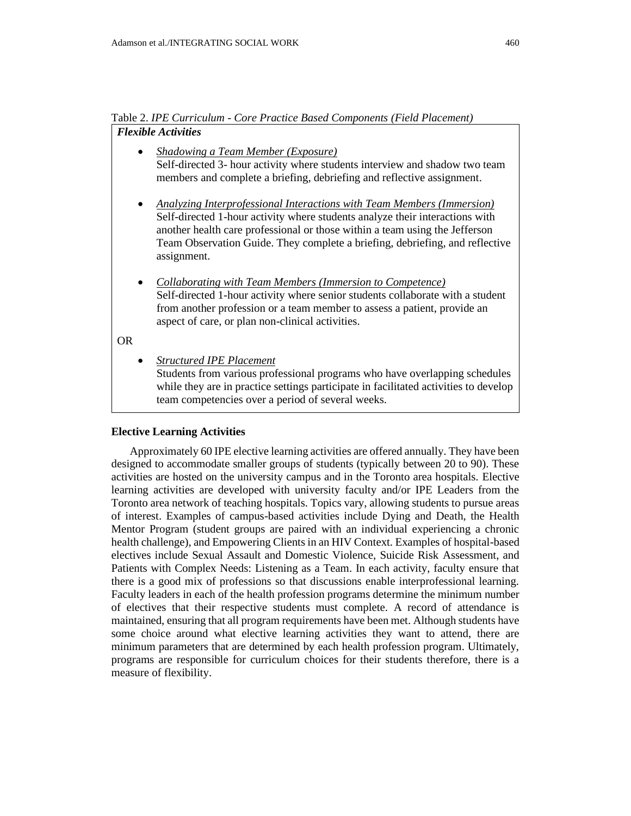Table 2. *IPE Curriculum - Core Practice Based Components (Field Placement) Flexible Activities*

- *Shadowing a Team Member (Exposure)* Self-directed 3- hour activity where students interview and shadow two team members and complete a briefing, debriefing and reflective assignment.
- *Analyzing Interprofessional Interactions with Team Members (Immersion)* Self-directed 1-hour activity where students analyze their interactions with another health care professional or those within a team using the Jefferson Team Observation Guide. They complete a briefing, debriefing, and reflective assignment.
- *Collaborating with Team Members (Immersion to Competence)* Self-directed 1-hour activity where senior students collaborate with a student from another profession or a team member to assess a patient, provide an aspect of care, or plan non-clinical activities.

# OR

• *Structured IPE Placement*

Students from various professional programs who have overlapping schedules while they are in practice settings participate in facilitated activities to develop team competencies over a period of several weeks.

## **Elective Learning Activities**

Approximately 60 IPE elective learning activities are offered annually. They have been designed to accommodate smaller groups of students (typically between 20 to 90). These activities are hosted on the university campus and in the Toronto area hospitals. Elective learning activities are developed with university faculty and/or IPE Leaders from the Toronto area network of teaching hospitals. Topics vary, allowing students to pursue areas of interest. Examples of campus-based activities include Dying and Death, the Health Mentor Program (student groups are paired with an individual experiencing a chronic health challenge), and Empowering Clients in an HIV Context. Examples of hospital-based electives include Sexual Assault and Domestic Violence, Suicide Risk Assessment, and Patients with Complex Needs: Listening as a Team. In each activity, faculty ensure that there is a good mix of professions so that discussions enable interprofessional learning. Faculty leaders in each of the health profession programs determine the minimum number of electives that their respective students must complete. A record of attendance is maintained, ensuring that all program requirements have been met. Although students have some choice around what elective learning activities they want to attend, there are minimum parameters that are determined by each health profession program. Ultimately, programs are responsible for curriculum choices for their students therefore, there is a measure of flexibility.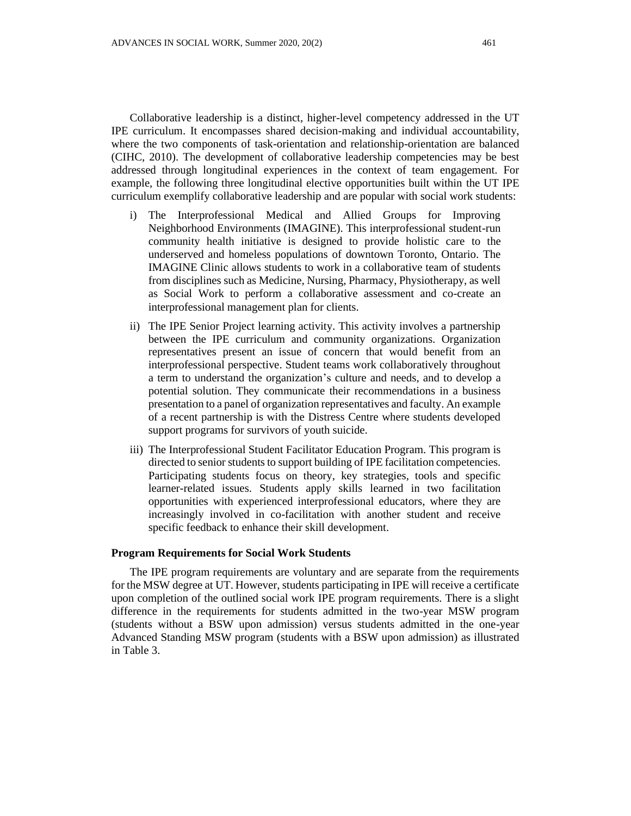Collaborative leadership is a distinct, higher-level competency addressed in the UT IPE curriculum. It encompasses shared decision-making and individual accountability, where the two components of task-orientation and relationship-orientation are balanced (CIHC, 2010). The development of collaborative leadership competencies may be best addressed through longitudinal experiences in the context of team engagement. For example, the following three longitudinal elective opportunities built within the UT IPE curriculum exemplify collaborative leadership and are popular with social work students:

- i) The Interprofessional Medical and Allied Groups for Improving Neighborhood Environments (IMAGINE). This interprofessional student-run community health initiative is designed to provide holistic care to the underserved and homeless populations of downtown Toronto, Ontario. The IMAGINE Clinic allows students to work in a collaborative team of students from disciplines such as Medicine, Nursing, Pharmacy, Physiotherapy, as well as Social Work to perform a collaborative assessment and co-create an interprofessional management plan for clients.
- ii) The IPE Senior Project learning activity. This activity involves a partnership between the IPE curriculum and community organizations. Organization representatives present an issue of concern that would benefit from an interprofessional perspective. Student teams work collaboratively throughout a term to understand the organization's culture and needs, and to develop a potential solution. They communicate their recommendations in a business presentation to a panel of organization representatives and faculty. An example of a recent partnership is with the Distress Centre where students developed support programs for survivors of youth suicide.
- iii) The Interprofessional Student Facilitator Education Program. This program is directed to senior students to support building of IPE facilitation competencies. Participating students focus on theory, key strategies, tools and specific learner-related issues. Students apply skills learned in two facilitation opportunities with experienced interprofessional educators, where they are increasingly involved in co-facilitation with another student and receive specific feedback to enhance their skill development.

#### **Program Requirements for Social Work Students**

The IPE program requirements are voluntary and are separate from the requirements for the MSW degree at UT. However, students participating in IPE will receive a certificate upon completion of the outlined social work IPE program requirements. There is a slight difference in the requirements for students admitted in the two-year MSW program (students without a BSW upon admission) versus students admitted in the one-year Advanced Standing MSW program (students with a BSW upon admission) as illustrated in Table 3.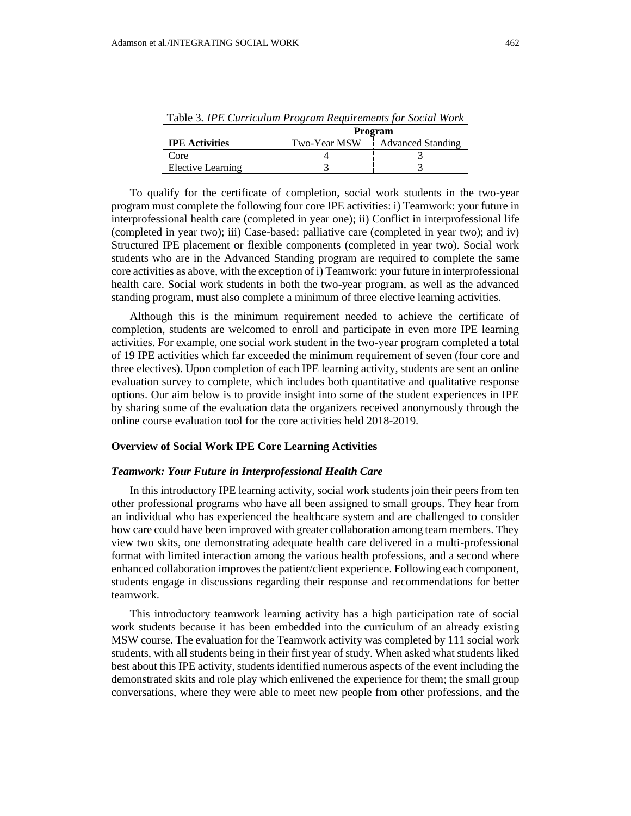|                       | Program      |                          |
|-----------------------|--------------|--------------------------|
| <b>IPE</b> Activities | Two-Year MSW | <b>Advanced Standing</b> |
| Core                  |              |                          |
| Elective Learning     |              |                          |

Table 3*. IPE Curriculum Program Requirements for Social Work*

To qualify for the certificate of completion, social work students in the two-year program must complete the following four core IPE activities: i) Teamwork: your future in interprofessional health care (completed in year one); ii) Conflict in interprofessional life (completed in year two); iii) Case-based: palliative care (completed in year two); and iv) Structured IPE placement or flexible components (completed in year two). Social work students who are in the Advanced Standing program are required to complete the same core activities as above, with the exception of i) Teamwork: your future in interprofessional health care. Social work students in both the two-year program, as well as the advanced standing program, must also complete a minimum of three elective learning activities.

Although this is the minimum requirement needed to achieve the certificate of completion, students are welcomed to enroll and participate in even more IPE learning activities. For example, one social work student in the two-year program completed a total of 19 IPE activities which far exceeded the minimum requirement of seven (four core and three electives). Upon completion of each IPE learning activity, students are sent an online evaluation survey to complete, which includes both quantitative and qualitative response options. Our aim below is to provide insight into some of the student experiences in IPE by sharing some of the evaluation data the organizers received anonymously through the online course evaluation tool for the core activities held 2018-2019.

#### **Overview of Social Work IPE Core Learning Activities**

#### *Teamwork: Your Future in Interprofessional Health Care*

In this introductory IPE learning activity, social work students join their peers from ten other professional programs who have all been assigned to small groups. They hear from an individual who has experienced the healthcare system and are challenged to consider how care could have been improved with greater collaboration among team members. They view two skits, one demonstrating adequate health care delivered in a multi-professional format with limited interaction among the various health professions, and a second where enhanced collaboration improves the patient/client experience. Following each component, students engage in discussions regarding their response and recommendations for better teamwork.

This introductory teamwork learning activity has a high participation rate of social work students because it has been embedded into the curriculum of an already existing MSW course. The evaluation for the Teamwork activity was completed by 111 social work students, with all students being in their first year of study. When asked what students liked best about this IPE activity, students identified numerous aspects of the event including the demonstrated skits and role play which enlivened the experience for them; the small group conversations, where they were able to meet new people from other professions, and the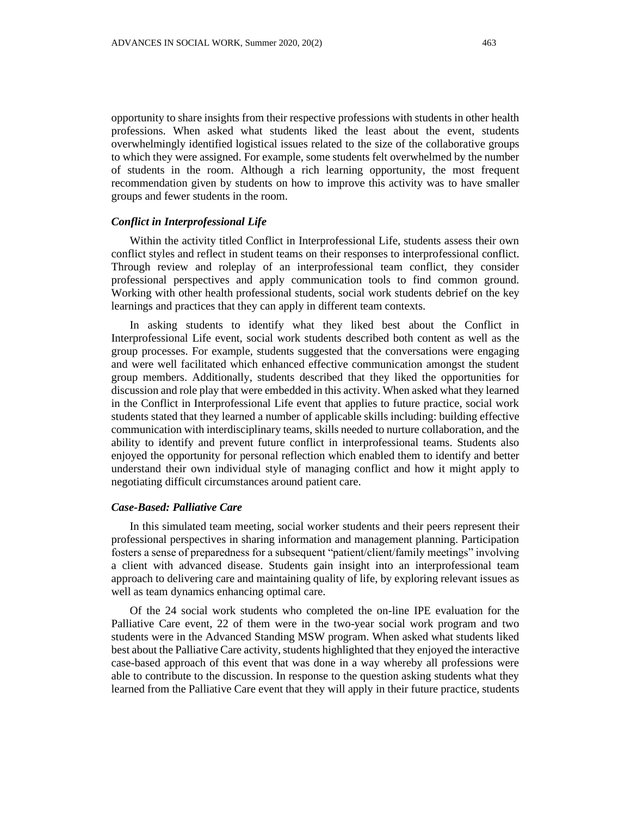opportunity to share insights from their respective professions with students in other health professions. When asked what students liked the least about the event, students overwhelmingly identified logistical issues related to the size of the collaborative groups to which they were assigned. For example, some students felt overwhelmed by the number of students in the room. Although a rich learning opportunity, the most frequent recommendation given by students on how to improve this activity was to have smaller groups and fewer students in the room.

# *Conflict in Interprofessional Life*

Within the activity titled Conflict in Interprofessional Life, students assess their own conflict styles and reflect in student teams on their responses to interprofessional conflict. Through review and roleplay of an interprofessional team conflict, they consider professional perspectives and apply communication tools to find common ground. Working with other health professional students, social work students debrief on the key learnings and practices that they can apply in different team contexts.

In asking students to identify what they liked best about the Conflict in Interprofessional Life event, social work students described both content as well as the group processes. For example, students suggested that the conversations were engaging and were well facilitated which enhanced effective communication amongst the student group members. Additionally, students described that they liked the opportunities for discussion and role play that were embedded in this activity. When asked what they learned in the Conflict in Interprofessional Life event that applies to future practice, social work students stated that they learned a number of applicable skills including: building effective communication with interdisciplinary teams, skills needed to nurture collaboration, and the ability to identify and prevent future conflict in interprofessional teams. Students also enjoyed the opportunity for personal reflection which enabled them to identify and better understand their own individual style of managing conflict and how it might apply to negotiating difficult circumstances around patient care.

## *Case-Based: Palliative Care*

In this simulated team meeting, social worker students and their peers represent their professional perspectives in sharing information and management planning. Participation fosters a sense of preparedness for a subsequent "patient/client/family meetings" involving a client with advanced disease. Students gain insight into an interprofessional team approach to delivering care and maintaining quality of life, by exploring relevant issues as well as team dynamics enhancing optimal care.

Of the 24 social work students who completed the on-line IPE evaluation for the Palliative Care event, 22 of them were in the two-year social work program and two students were in the Advanced Standing MSW program. When asked what students liked best about the Palliative Care activity, students highlighted that they enjoyed the interactive case-based approach of this event that was done in a way whereby all professions were able to contribute to the discussion. In response to the question asking students what they learned from the Palliative Care event that they will apply in their future practice, students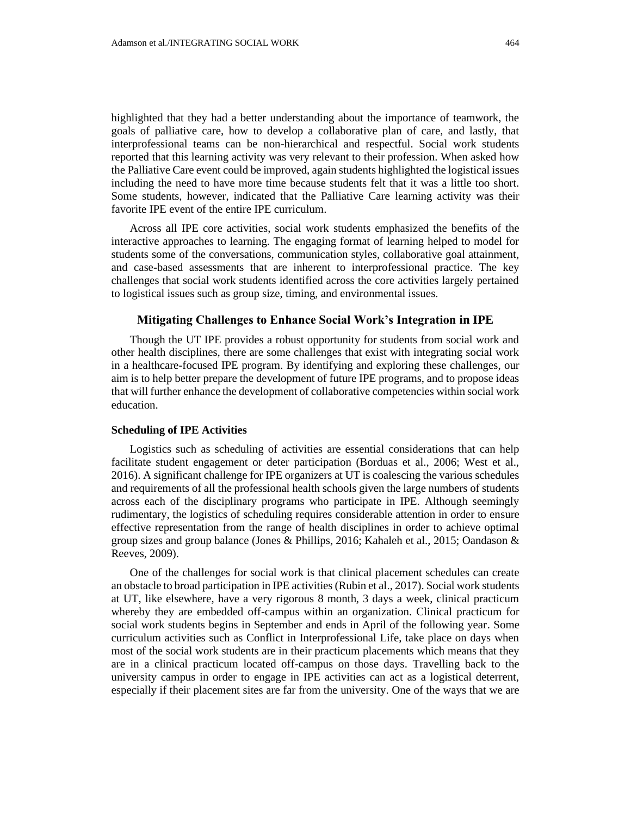highlighted that they had a better understanding about the importance of teamwork, the goals of palliative care, how to develop a collaborative plan of care, and lastly, that interprofessional teams can be non-hierarchical and respectful. Social work students reported that this learning activity was very relevant to their profession. When asked how the Palliative Care event could be improved, again students highlighted the logistical issues including the need to have more time because students felt that it was a little too short. Some students, however, indicated that the Palliative Care learning activity was their favorite IPE event of the entire IPE curriculum.

Across all IPE core activities, social work students emphasized the benefits of the interactive approaches to learning. The engaging format of learning helped to model for students some of the conversations, communication styles, collaborative goal attainment, and case-based assessments that are inherent to interprofessional practice. The key challenges that social work students identified across the core activities largely pertained to logistical issues such as group size, timing, and environmental issues.

## **Mitigating Challenges to Enhance Social Work's Integration in IPE**

Though the UT IPE provides a robust opportunity for students from social work and other health disciplines, there are some challenges that exist with integrating social work in a healthcare-focused IPE program. By identifying and exploring these challenges, our aim is to help better prepare the development of future IPE programs, and to propose ideas that will further enhance the development of collaborative competencies within social work education.

## **Scheduling of IPE Activities**

Logistics such as scheduling of activities are essential considerations that can help facilitate student engagement or deter participation (Borduas et al., 2006; West et al., 2016). A significant challenge for IPE organizers at UT is coalescing the various schedules and requirements of all the professional health schools given the large numbers of students across each of the disciplinary programs who participate in IPE. Although seemingly rudimentary, the logistics of scheduling requires considerable attention in order to ensure effective representation from the range of health disciplines in order to achieve optimal group sizes and group balance (Jones & Phillips, 2016; Kahaleh et al., 2015; Oandason & Reeves, 2009).

One of the challenges for social work is that clinical placement schedules can create an obstacle to broad participation in IPE activities (Rubin et al., 2017). Social work students at UT, like elsewhere, have a very rigorous 8 month, 3 days a week, clinical practicum whereby they are embedded off-campus within an organization. Clinical practicum for social work students begins in September and ends in April of the following year. Some curriculum activities such as Conflict in Interprofessional Life, take place on days when most of the social work students are in their practicum placements which means that they are in a clinical practicum located off-campus on those days. Travelling back to the university campus in order to engage in IPE activities can act as a logistical deterrent, especially if their placement sites are far from the university. One of the ways that we are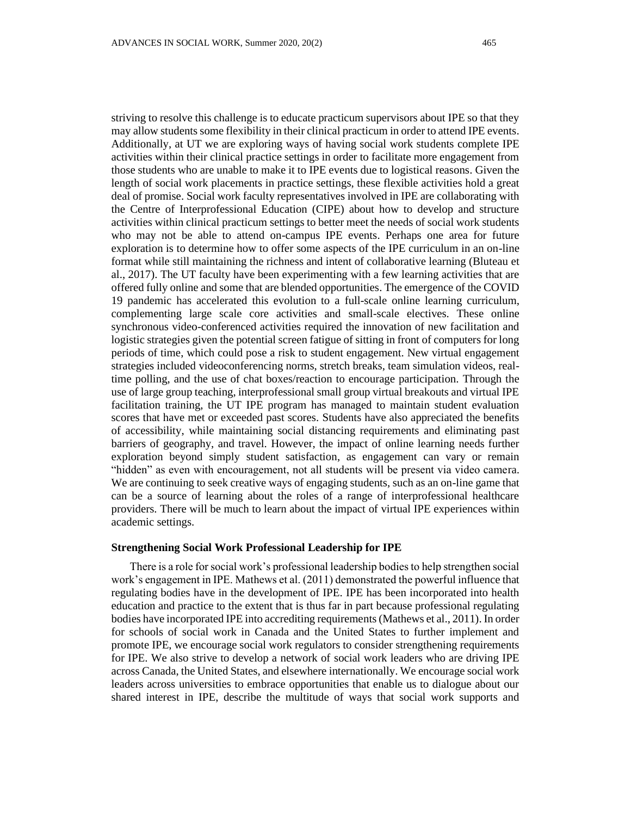striving to resolve this challenge is to educate practicum supervisors about IPE so that they may allow students some flexibility in their clinical practicum in order to attend IPE events. Additionally, at UT we are exploring ways of having social work students complete IPE activities within their clinical practice settings in order to facilitate more engagement from those students who are unable to make it to IPE events due to logistical reasons. Given the length of social work placements in practice settings, these flexible activities hold a great deal of promise. Social work faculty representatives involved in IPE are collaborating with the Centre of Interprofessional Education (CIPE) about how to develop and structure activities within clinical practicum settings to better meet the needs of social work students who may not be able to attend on-campus IPE events. Perhaps one area for future exploration is to determine how to offer some aspects of the IPE curriculum in an on-line format while still maintaining the richness and intent of collaborative learning (Bluteau et al., 2017). The UT faculty have been experimenting with a few learning activities that are offered fully online and some that are blended opportunities. The emergence of the COVID 19 pandemic has accelerated this evolution to a full-scale online learning curriculum, complementing large scale core activities and small-scale electives. These online synchronous video-conferenced activities required the innovation of new facilitation and logistic strategies given the potential screen fatigue of sitting in front of computers for long periods of time, which could pose a risk to student engagement. New virtual engagement strategies included videoconferencing norms, stretch breaks, team simulation videos, realtime polling, and the use of chat boxes/reaction to encourage participation. Through the use of large group teaching, interprofessional small group virtual breakouts and virtual IPE facilitation training, the UT IPE program has managed to maintain student evaluation scores that have met or exceeded past scores. Students have also appreciated the benefits of accessibility, while maintaining social distancing requirements and eliminating past barriers of geography, and travel. However, the impact of online learning needs further exploration beyond simply student satisfaction, as engagement can vary or remain "hidden" as even with encouragement, not all students will be present via video camera. We are continuing to seek creative ways of engaging students, such as an on-line game that can be a source of learning about the roles of a range of interprofessional healthcare providers. There will be much to learn about the impact of virtual IPE experiences within academic settings.

## **Strengthening Social Work Professional Leadership for IPE**

There is a role for social work's professional leadership bodies to help strengthen social work's engagement in IPE. Mathews et al. (2011) demonstrated the powerful influence that regulating bodies have in the development of IPE. IPE has been incorporated into health education and practice to the extent that is thus far in part because professional regulating bodies have incorporated IPE into accrediting requirements (Mathews et al., 2011). In order for schools of social work in Canada and the United States to further implement and promote IPE, we encourage social work regulators to consider strengthening requirements for IPE. We also strive to develop a network of social work leaders who are driving IPE across Canada, the United States, and elsewhere internationally. We encourage social work leaders across universities to embrace opportunities that enable us to dialogue about our shared interest in IPE, describe the multitude of ways that social work supports and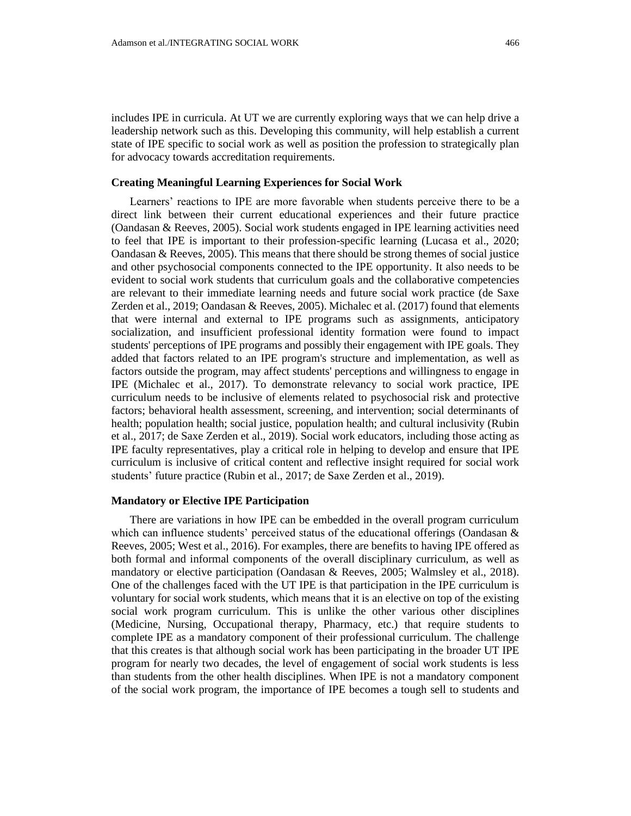includes IPE in curricula. At UT we are currently exploring ways that we can help drive a leadership network such as this. Developing this community, will help establish a current state of IPE specific to social work as well as position the profession to strategically plan for advocacy towards accreditation requirements.

## **Creating Meaningful Learning Experiences for Social Work**

Learners' reactions to IPE are more favorable when students perceive there to be a direct link between their current educational experiences and their future practice (Oandasan & Reeves, 2005). Social work students engaged in IPE learning activities need to feel that IPE is important to their profession-specific learning (Lucasa et al., 2020; Oandasan  $\&$  Reeves, 2005). This means that there should be strong themes of social justice and other psychosocial components connected to the IPE opportunity. It also needs to be evident to social work students that curriculum goals and the collaborative competencies are relevant to their immediate learning needs and future social work practice (de Saxe Zerden et al., 2019; Oandasan & Reeves, 2005). Michalec et al. (2017) found that elements that were internal and external to IPE programs such as assignments, anticipatory socialization, and insufficient professional identity formation were found to impact students' perceptions of IPE programs and possibly their engagement with IPE goals. They added that factors related to an IPE program's structure and implementation, as well as factors outside the program, may affect students' perceptions and willingness to engage in IPE (Michalec et al., 2017). To demonstrate relevancy to social work practice, IPE curriculum needs to be inclusive of elements related to psychosocial risk and protective factors; behavioral health assessment, screening, and intervention; social determinants of health; population health; social justice, population health; and cultural inclusivity (Rubin et al., 2017; de Saxe Zerden et al., 2019). Social work educators, including those acting as IPE faculty representatives, play a critical role in helping to develop and ensure that IPE curriculum is inclusive of critical content and reflective insight required for social work students' future practice (Rubin et al., 2017; de Saxe Zerden et al., 2019).

#### **Mandatory or Elective IPE Participation**

There are variations in how IPE can be embedded in the overall program curriculum which can influence students' perceived status of the educational offerings (Oandasan & Reeves, 2005; West et al., 2016). For examples, there are benefits to having IPE offered as both formal and informal components of the overall disciplinary curriculum, as well as mandatory or elective participation (Oandasan & Reeves, 2005; Walmsley et al., 2018). One of the challenges faced with the UT IPE is that participation in the IPE curriculum is voluntary for social work students, which means that it is an elective on top of the existing social work program curriculum. This is unlike the other various other disciplines (Medicine, Nursing, Occupational therapy, Pharmacy, etc.) that require students to complete IPE as a mandatory component of their professional curriculum. The challenge that this creates is that although social work has been participating in the broader UT IPE program for nearly two decades, the level of engagement of social work students is less than students from the other health disciplines. When IPE is not a mandatory component of the social work program, the importance of IPE becomes a tough sell to students and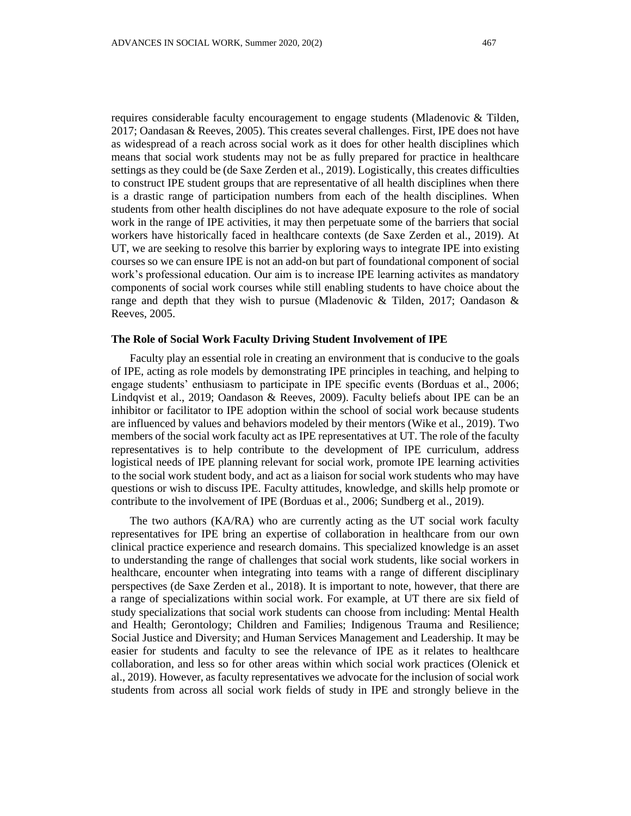requires considerable faculty encouragement to engage students (Mladenovic & Tilden, 2017; Oandasan & Reeves, 2005). This creates several challenges. First, IPE does not have as widespread of a reach across social work as it does for other health disciplines which means that social work students may not be as fully prepared for practice in healthcare settings as they could be (de Saxe Zerden et al., 2019). Logistically, this creates difficulties to construct IPE student groups that are representative of all health disciplines when there is a drastic range of participation numbers from each of the health disciplines. When students from other health disciplines do not have adequate exposure to the role of social work in the range of IPE activities, it may then perpetuate some of the barriers that social workers have historically faced in healthcare contexts (de Saxe Zerden et al., 2019). At UT, we are seeking to resolve this barrier by exploring ways to integrate IPE into existing courses so we can ensure IPE is not an add-on but part of foundational component of social work's professional education. Our aim is to increase IPE learning activites as mandatory components of social work courses while still enabling students to have choice about the range and depth that they wish to pursue (Mladenovic & Tilden, 2017; Oandason  $\&$ Reeves, 2005.

### **The Role of Social Work Faculty Driving Student Involvement of IPE**

Faculty play an essential role in creating an environment that is conducive to the goals of IPE, acting as role models by demonstrating IPE principles in teaching, and helping to engage students' enthusiasm to participate in IPE specific events (Borduas et al., 2006; Lindqvist et al., 2019; Oandason & Reeves, 2009). Faculty beliefs about IPE can be an inhibitor or facilitator to IPE adoption within the school of social work because students are influenced by values and behaviors modeled by their mentors (Wike et al., 2019). Two members of the social work faculty act as IPE representatives at UT. The role of the faculty representatives is to help contribute to the development of IPE curriculum, address logistical needs of IPE planning relevant for social work, promote IPE learning activities to the social work student body, and act as a liaison for social work students who may have questions or wish to discuss IPE. Faculty attitudes, knowledge, and skills help promote or contribute to the involvement of IPE (Borduas et al., 2006; Sundberg et al., 2019).

The two authors (KA/RA) who are currently acting as the UT social work faculty representatives for IPE bring an expertise of collaboration in healthcare from our own clinical practice experience and research domains. This specialized knowledge is an asset to understanding the range of challenges that social work students, like social workers in healthcare, encounter when integrating into teams with a range of different disciplinary perspectives (de Saxe Zerden et al., 2018). It is important to note, however, that there are a range of specializations within social work. For example, at UT there are six field of study specializations that social work students can choose from including: Mental Health and Health; Gerontology; Children and Families; Indigenous Trauma and Resilience; Social Justice and Diversity; and Human Services Management and Leadership. It may be easier for students and faculty to see the relevance of IPE as it relates to healthcare collaboration, and less so for other areas within which social work practices (Olenick et al., 2019). However, as faculty representatives we advocate for the inclusion of social work students from across all social work fields of study in IPE and strongly believe in the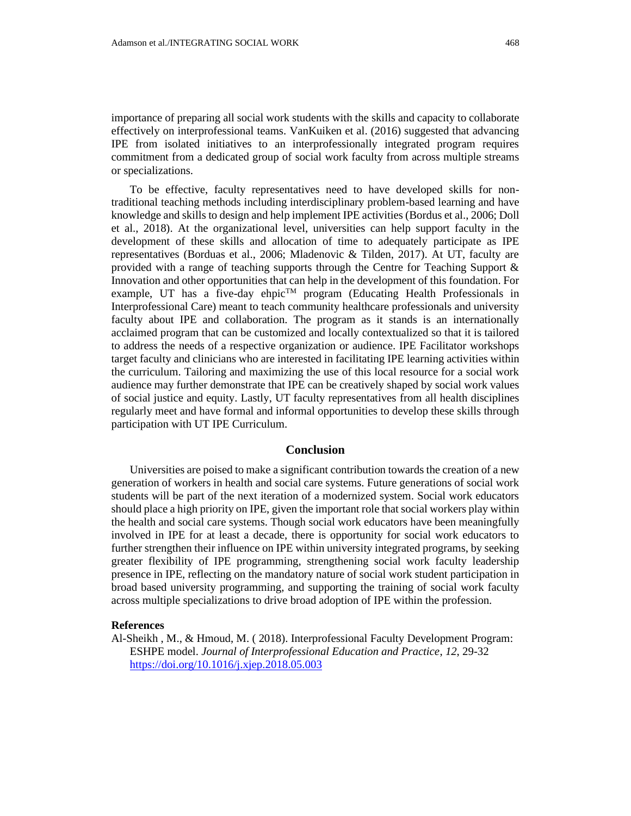importance of preparing all social work students with the skills and capacity to collaborate effectively on interprofessional teams. VanKuiken et al. (2016) suggested that advancing IPE from isolated initiatives to an interprofessionally integrated program requires commitment from a dedicated group of social work faculty from across multiple streams or specializations.

To be effective, faculty representatives need to have developed skills for nontraditional teaching methods including interdisciplinary problem-based learning and have knowledge and skills to design and help implement IPE activities (Bordus et al., 2006; Doll et al., 2018). At the organizational level, universities can help support faculty in the development of these skills and allocation of time to adequately participate as IPE representatives (Borduas et al., 2006; Mladenovic & Tilden, 2017). At UT, faculty are provided with a range of teaching supports through the Centre for Teaching Support & Innovation and other opportunities that can help in the development of this foundation. For example, UT has a five-day ehpic™ program (Educating Health Professionals in Interprofessional Care) meant to teach community healthcare professionals and university faculty about IPE and collaboration. The program as it stands is an internationally acclaimed program that can be customized and locally contextualized so that it is tailored to address the needs of a respective organization or audience. IPE Facilitator workshops target faculty and clinicians who are interested in facilitating IPE learning activities within the curriculum. Tailoring and maximizing the use of this local resource for a social work audience may further demonstrate that IPE can be creatively shaped by social work values of social justice and equity. Lastly, UT faculty representatives from all health disciplines regularly meet and have formal and informal opportunities to develop these skills through participation with UT IPE Curriculum.

## **Conclusion**

Universities are poised to make a significant contribution towards the creation of a new generation of workers in health and social care systems. Future generations of social work students will be part of the next iteration of a modernized system. Social work educators should place a high priority on IPE, given the important role that social workers play within the health and social care systems. Though social work educators have been meaningfully involved in IPE for at least a decade, there is opportunity for social work educators to further strengthen their influence on IPE within university integrated programs, by seeking greater flexibility of IPE programming, strengthening social work faculty leadership presence in IPE, reflecting on the mandatory nature of social work student participation in broad based university programming, and supporting the training of social work faculty across multiple specializations to drive broad adoption of IPE within the profession.

#### **References**

Al-Sheikh , M., & Hmoud, M. ( 2018). Interprofessional Faculty Development Program: ESHPE model. *Journal of Interprofessional Education and Practice*, *12*, 29-32 <https://doi.org/10.1016/j.xjep.2018.05.003>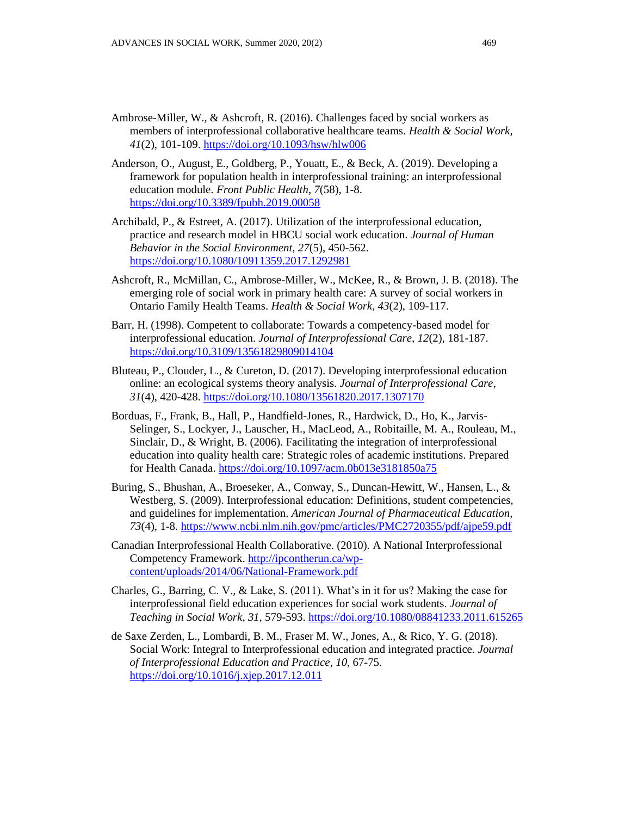- Ambrose-Miller, W., & Ashcroft, R. (2016). Challenges faced by social workers as members of interprofessional collaborative healthcare teams. *Health & Social Work*, *41*(2), 101-109. <https://doi.org/10.1093/hsw/hlw006>
- Anderson, O., August, E., Goldberg, P., Youatt, E., & Beck, A. (2019). Developing a framework for population health in interprofessional training: an interprofessional education module. *Front Public Health*, *7*(58), 1-8. <https://doi.org/10.3389/fpubh.2019.00058>
- Archibald, P., & Estreet, A. (2017). Utilization of the interprofessional education, practice and research model in HBCU social work education. *Journal of Human Behavior in the Social Environment*, *27*(5), 450-562. <https://doi.org/10.1080/10911359.2017.1292981>
- Ashcroft, R., McMillan, C., Ambrose-Miller, W., McKee, R., & Brown, J. B. (2018). The emerging role of social work in primary health care: A survey of social workers in Ontario Family Health Teams. *Health & Social Work*, *43*(2), 109-117.
- Barr, H. (1998). Competent to collaborate: Towards a competency-based model for interprofessional education. *Journal of Interprofessional Care*, *12*(2), 181-187. <https://doi.org/10.3109/13561829809014104>
- Bluteau, P., Clouder, L., & Cureton, D. (2017). Developing interprofessional education online: an ecological systems theory analysis. *Journal of Interprofessional Care*, *31*(4), 420-428.<https://doi.org/10.1080/13561820.2017.1307170>
- Borduas, F., Frank, B., Hall, P., Handfield-Jones, R., Hardwick, D., Ho, K., Jarvis-Selinger, S., Lockyer, J., Lauscher, H., MacLeod, A., Robitaille, M. A., Rouleau, M., Sinclair, D., & Wright, B. (2006). Facilitating the integration of interprofessional education into quality health care: Strategic roles of academic institutions. Prepared for Health Canada.<https://doi.org/10.1097/acm.0b013e3181850a75>
- Buring, S., Bhushan, A., Broeseker, A., Conway, S., Duncan-Hewitt, W., Hansen, L., & Westberg, S. (2009). Interprofessional education: Definitions, student competencies, and guidelines for implementation. *American Journal of Pharmaceutical Education*, *73*(4), 1-8.<https://www.ncbi.nlm.nih.gov/pmc/articles/PMC2720355/pdf/ajpe59.pdf>
- Canadian Interprofessional Health Collaborative. (2010). A National Interprofessional Competency Framework[. http://ipcontherun.ca/wp](http://ipcontherun.ca/wp-content/uploads/2014/06/National-Framework.pdf)[content/uploads/2014/06/National-Framework.pdf](http://ipcontherun.ca/wp-content/uploads/2014/06/National-Framework.pdf)
- Charles, G., Barring, C. V., & Lake, S.  $(2011)$ . What's in it for us? Making the case for interprofessional field education experiences for social work students. *Journal of Teaching in Social Work*, *31*, 579-593. <https://doi.org/10.1080/08841233.2011.615265>
- de Saxe Zerden, L., Lombardi, B. M., Fraser M. W., Jones, A., & Rico, Y. G. (2018). Social Work: Integral to Interprofessional education and integrated practice. *Journal of Interprofessional Education and Practice*, *10*, 67-75. <https://doi.org/10.1016/j.xjep.2017.12.011>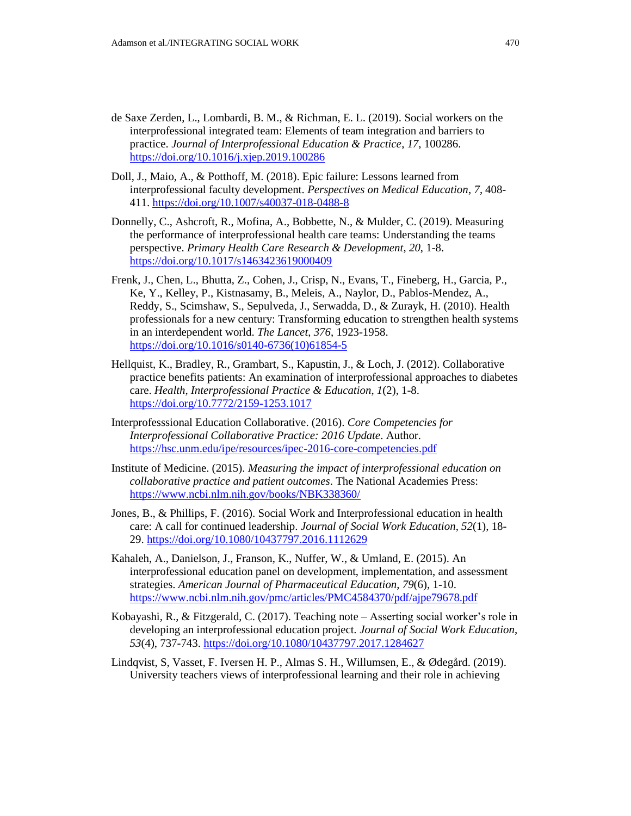- de Saxe Zerden, L., Lombardi, B. M., & Richman, E. L. (2019). Social workers on the interprofessional integrated team: Elements of team integration and barriers to practice. *Journal of Interprofessional Education & Practice*, *17*, 100286. <https://doi.org/10.1016/j.xjep.2019.100286>
- Doll, J., Maio, A., & Potthoff, M. (2018). Epic failure: Lessons learned from interprofessional faculty development. *Perspectives on Medical Education*, *7*, 408- 411.<https://doi.org/10.1007/s40037-018-0488-8>
- Donnelly, C., Ashcroft, R., Mofina, A., Bobbette, N., & Mulder, C. (2019). Measuring the performance of interprofessional health care teams: Understanding the teams perspective. *Primary Health Care Research & Development*, *20*, 1-8. <https://doi.org/10.1017/s1463423619000409>
- Frenk, J., Chen, L., Bhutta, Z., Cohen, J., Crisp, N., Evans, T., Fineberg, H., Garcia, P., Ke, Y., Kelley, P., Kistnasamy, B., Meleis, A., Naylor, D., Pablos-Mendez, A., Reddy, S., Scimshaw, S., Sepulveda, J., Serwadda, D., & Zurayk, H. (2010). Health professionals for a new century: Transforming education to strengthen health systems in an interdependent world. *The Lancet*, *376*, 1923-1958. [https://doi.org/10.1016/s0140-6736\(10\)61854-5](https://doi.org/10.1016/s0140-6736(10)61854-5)
- Hellquist, K., Bradley, R., Grambart, S., Kapustin, J., & Loch, J. (2012). Collaborative practice benefits patients: An examination of interprofessional approaches to diabetes care. *Health, Interprofessional Practice & Education*, *1*(2), 1-8. <https://doi.org/10.7772/2159-1253.1017>
- Interprofesssional Education Collaborative. (2016). *Core Competencies for Interprofessional Collaborative Practice: 2016 Update*. Author. <https://hsc.unm.edu/ipe/resources/ipec-2016-core-competencies.pdf>
- Institute of Medicine. (2015). *Measuring the impact of interprofessional education on collaborative practice and patient outcomes*. The National Academies Press: <https://www.ncbi.nlm.nih.gov/books/NBK338360/>
- Jones, B., & Phillips, F. (2016). Social Work and Interprofessional education in health care: A call for continued leadership. *Journal of Social Work Education*, *52*(1), 18- 29. <https://doi.org/10.1080/10437797.2016.1112629>
- Kahaleh, A., Danielson, J., Franson, K., Nuffer, W., & Umland, E. (2015). An interprofessional education panel on development, implementation, and assessment strategies. *American Journal of Pharmaceutical Education*, *79*(6), 1-10. <https://www.ncbi.nlm.nih.gov/pmc/articles/PMC4584370/pdf/ajpe79678.pdf>
- Kobayashi, R., & Fitzgerald, C. (2017). Teaching note Asserting social worker's role in developing an interprofessional education project*. Journal of Social Work Education*, *53*(4), 737-743.<https://doi.org/10.1080/10437797.2017.1284627>
- Lindqvist, S, Vasset, F. Iversen H. P., Almas S. H., Willumsen, E., & Ødegård. (2019). University teachers views of interprofessional learning and their role in achieving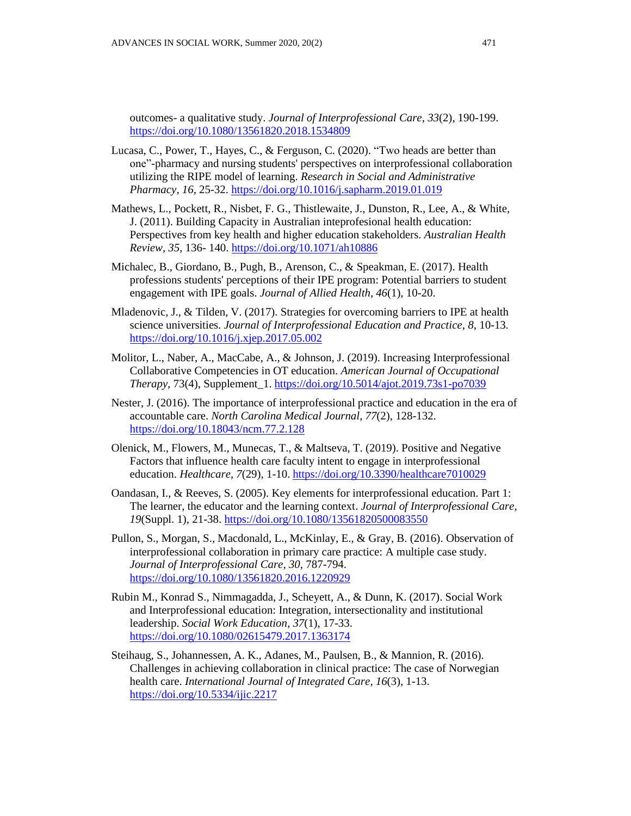outcomes- a qualitative study. *Journal of Interprofessional Care*, *33*(2), 190-199. <https://doi.org/10.1080/13561820.2018.1534809>

- Lucasa, C., Power, T., Hayes, C., & Ferguson, C. (2020). "Two heads are better than one"-pharmacy and nursing students' perspectives on interprofessional collaboration utilizing the RIPE model of learning. *Research in Social and Administrative Pharmacy*, *16*, 25-32. <https://doi.org/10.1016/j.sapharm.2019.01.019>
- Mathews, L., Pockett, R., Nisbet, F. G., Thistlewaite, J., Dunston, R., Lee, A., & White, J. (2011). Building Capacity in Australian inteprofesional health education: Perspectives from key health and higher education stakeholders. *Australian Health Review*, *35*, 136- 140. <https://doi.org/10.1071/ah10886>
- Michalec, B., Giordano, B., Pugh, B., Arenson, C., & Speakman, E. (2017). Health professions students' perceptions of their IPE program: Potential barriers to student engagement with IPE goals. *Journal of Allied Health*, *46*(1), 10-20.
- Mladenovic, J., & Tilden, V. (2017). Strategies for overcoming barriers to IPE at health science universities. *Journal of Interprofessional Education and Practice*, *8*, 10-13. <https://doi.org/10.1016/j.xjep.2017.05.002>
- Molitor, L., Naber, A., MacCabe, A., & Johnson, J. (2019). Increasing Interprofessional Collaborative Competencies in OT education. *American Journal of Occupational Therapy*, 73(4), Supplement\_1. <https://doi.org/10.5014/ajot.2019.73s1-po7039>
- Nester, J. (2016). The importance of interprofessional practice and education in the era of accountable care. *North Carolina Medical Journal*, *77*(2), 128-132. <https://doi.org/10.18043/ncm.77.2.128>
- Olenick, M., Flowers, M., Munecas, T., & Maltseva, T. (2019). Positive and Negative Factors that influence health care faculty intent to engage in interprofessional education. *Healthcare*, *7*(29), 1-10. <https://doi.org/10.3390/healthcare7010029>
- Oandasan, I., & Reeves, S. (2005). Key elements for interprofessional education. Part 1: The learner, the educator and the learning context. *Journal of Interprofessional Care*, *19*(Suppl. 1), 21-38. <https://doi.org/10.1080/13561820500083550>
- Pullon, S., Morgan, S., Macdonald, L., McKinlay, E., & Gray, B. (2016). Observation of interprofessional collaboration in primary care practice: A multiple case study. *Journal of Interprofessional Care, 30*, 787-794. <https://doi.org/10.1080/13561820.2016.1220929>
- Rubin M., Konrad S., Nimmagadda, J., Scheyett, A., & Dunn, K. (2017). Social Work and Interprofessional education: Integration, intersectionality and institutional leadership. *Social Work Education*, *37*(1), 17-33. <https://doi.org/10.1080/02615479.2017.1363174>
- Steihaug, S., Johannessen, A. K., Adanes, M., Paulsen, B., & Mannion, R. (2016). Challenges in achieving collaboration in clinical practice: The case of Norwegian health care. *International Journal of Integrated Care*, *16*(3), 1-13. <https://doi.org/10.5334/ijic.2217>